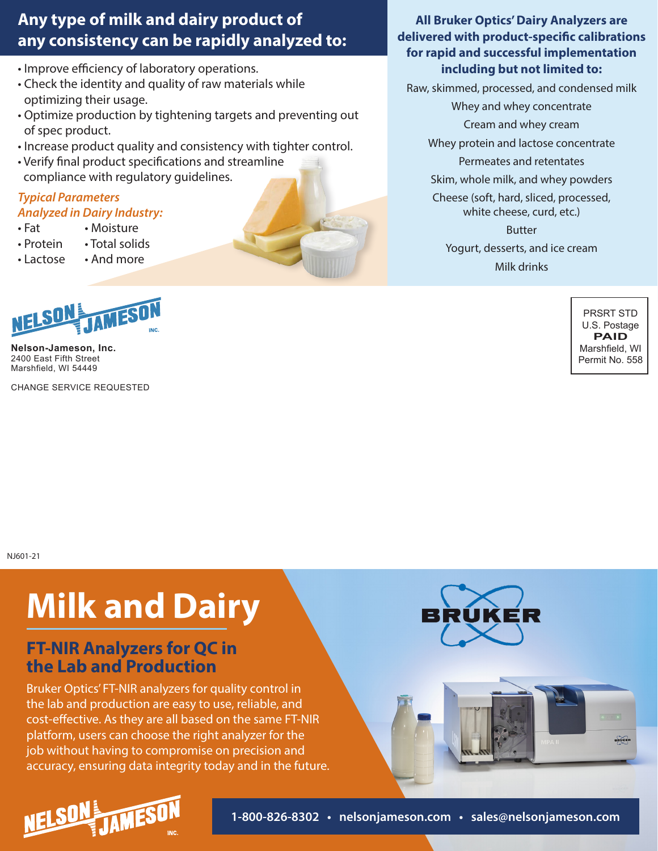# **Any type of milk and dairy product of any consistency can be rapidly analyzed to:**

- Improve efficiency of laboratory operations.
- Check the identity and quality of raw materials while optimizing their usage.
- Optimize production by tightening targets and preventing out of spec product.
- Increase product quality and consistency with tighter control.
- Verify final product specifications and streamline compliance with regulatory guidelines.

#### *Typical Parameters Analyzed in Dairy Industry:*

- Fat • Moisture
- Protein • Total solids
- Lactose • And more



**Nelson-Jameson, Inc.** 2400 East Fifth Street Marshfield, WI 54449

CHANGE SERVICE REQUESTED

#### **All Bruker Optics' Dairy Analyzers are delivered with product-specific calibrations for rapid and successful implementation including but not limited to:**

Raw, skimmed, processed, and condensed milk

Whey and whey concentrate

Cream and whey cream

Whey protein and lactose concentrate

Permeates and retentates

Skim, whole milk, and whey powders Cheese (soft, hard, sliced, processed, white cheese, curd, etc.)

> Butter Yogurt, desserts, and ice cream Milk drinks

> > PRSRT STD U.S. Postage **PAID** Marshfield, WI Permit No. 558

> > > BRUKER

NJ601-21

# **Milk and Dairy**

### **FT-NIR Analyzers for QC in the Lab and Production**

Bruker Optics' FT-NIR analyzers for quality control in the lab and production are easy to use, reliable, and cost-effective. As they are all based on the same FT-NIR platform, users can choose the right analyzer for the job without having to compromise on precision and accuracy, ensuring data integrity today and in the future.